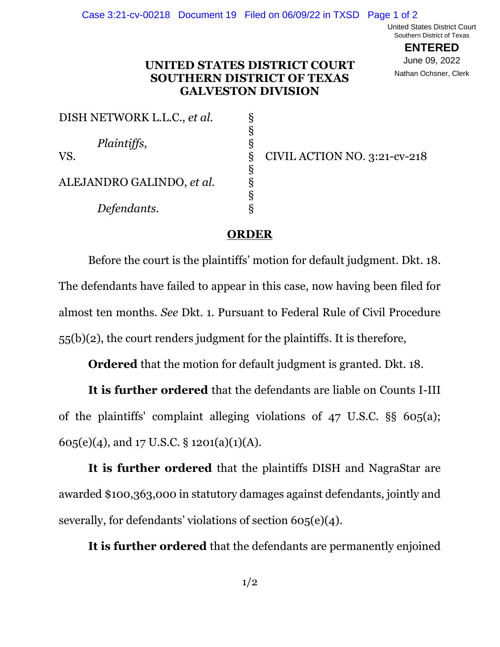United States District Court Southern District of Texas

> **ENTERED** June 09, 2022 Nathan Ochsner, Clerk

## **UNITED STATES DISTRICT COURT SOUTHERN DISTRICT OF TEXAS GALVESTON DIVISION**

| DISH NETWORK L.L.C., et al. | δ |  |
|-----------------------------|---|--|
|                             | δ |  |
| Plaintiffs,                 | 5 |  |
| VS.                         |   |  |
|                             | δ |  |
| ALEJANDRO GALINDO, et al.   | δ |  |
|                             | δ |  |
| Defendants.                 |   |  |

VS. CIVIL ACTION NO. 3:21-cv-218

## **ORDER**

Before the court is the plaintiffs' motion for default judgment. Dkt. 18. The defendants have failed to appear in this case, now having been filed for almost ten months. *See* Dkt. 1. Pursuant to Federal Rule of Civil Procedure 55(b)(2), the court renders judgment for the plaintiffs. It is therefore,

**Ordered** that the motion for default judgment is granted. Dkt. 18.

**It is further ordered** that the defendants are liable on Counts I-III of the plaintiffs' complaint alleging violations of 47 U.S.C. §§ 605(a); 605(e)(4), and 17 U.S.C. § 1201(a)(1)(A).

**It is further ordered** that the plaintiffs DISH and NagraStar are awarded \$100,363,000 in statutory damages against defendants, jointly and severally, for defendants' violations of section 605(e)(4).

**It is further ordered** that the defendants are permanently enjoined